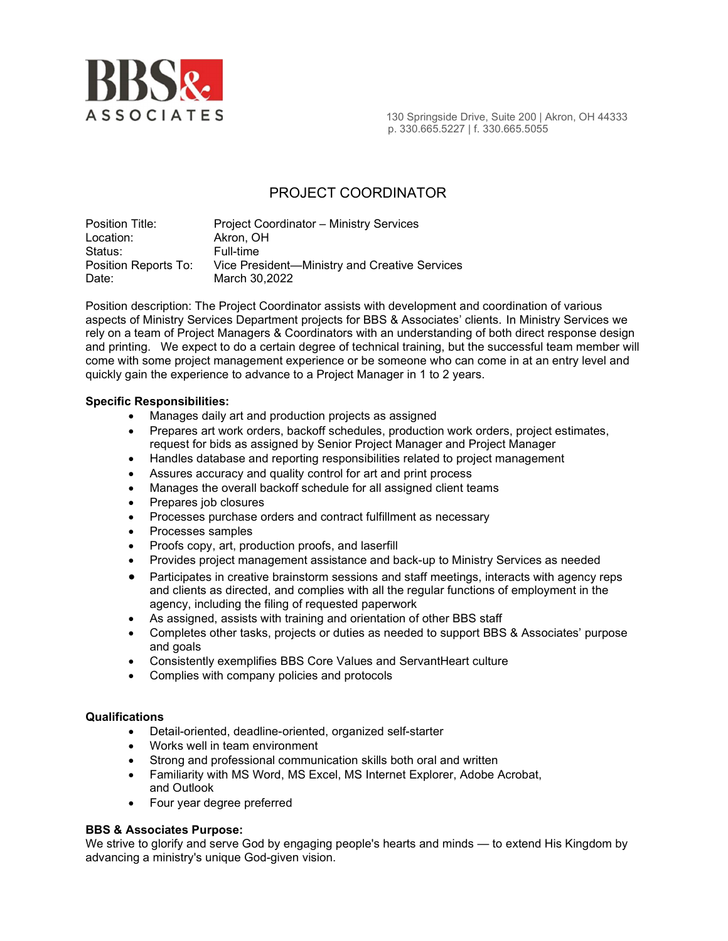

 $\overline{A}$  S S O C I A T E S and the state of the springside Drive, Suite 200 | Akron, OH 44333 p. 330.665.5227 | f. 330.665.5055

# PROJECT COORDINATOR

Position Title: Project Coordinator – Ministry Services Location: Akron, OH Status: Full-time Position Reports To: Vice President—Ministry and Creative Services Date: March 30,2022

Position description: The Project Coordinator assists with development and coordination of various aspects of Ministry Services Department projects for BBS & Associates' clients. In Ministry Services we rely on a team of Project Managers & Coordinators with an understanding of both direct response design and printing. We expect to do a certain degree of technical training, but the successful team member will come with some project management experience or be someone who can come in at an entry level and quickly gain the experience to advance to a Project Manager in 1 to 2 years.

### Specific Responsibilities:

- Manages daily art and production projects as assigned
- Prepares art work orders, backoff schedules, production work orders, project estimates, request for bids as assigned by Senior Project Manager and Project Manager
- Handles database and reporting responsibilities related to project management
- Assures accuracy and quality control for art and print process
- Manages the overall backoff schedule for all assigned client teams
- Prepares job closures
- Processes purchase orders and contract fulfillment as necessary
- Processes samples
- Proofs copy, art, production proofs, and laserfill
- Provides project management assistance and back-up to Ministry Services as needed
- Participates in creative brainstorm sessions and staff meetings, interacts with agency reps and clients as directed, and complies with all the regular functions of employment in the agency, including the filing of requested paperwork
- As assigned, assists with training and orientation of other BBS staff
- Completes other tasks, projects or duties as needed to support BBS & Associates' purpose and goals
- Consistently exemplifies BBS Core Values and ServantHeart culture
- Complies with company policies and protocols

#### **Qualifications**

- Detail-oriented, deadline-oriented, organized self-starter
- Works well in team environment
- Strong and professional communication skills both oral and written
- Familiarity with MS Word, MS Excel, MS Internet Explorer, Adobe Acrobat, and Outlook
- Four year degree preferred

## BBS & Associates Purpose:

We strive to glorify and serve God by engaging people's hearts and minds — to extend His Kingdom by advancing a ministry's unique God-given vision.